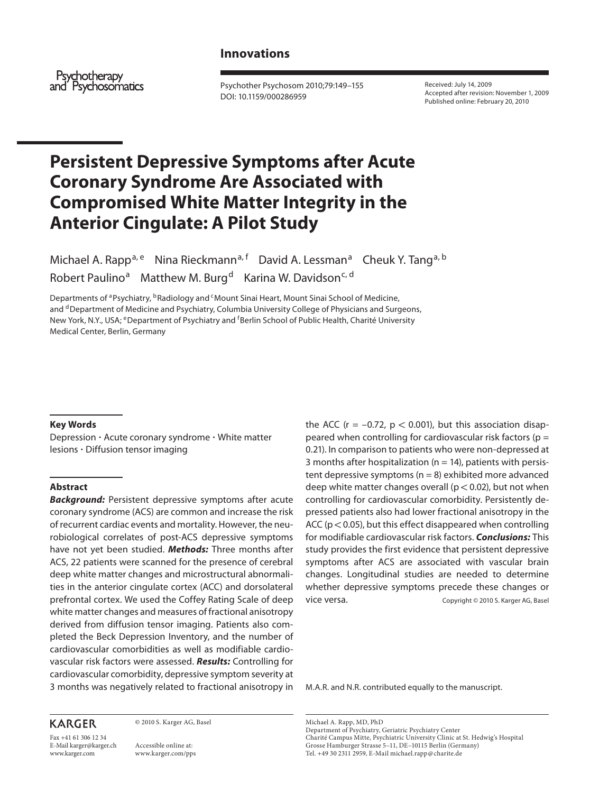# **Innovations**

Psychotherapy and Psychosomatics

 Psychother Psychosom 2010;79:149–155 DOI: 10.1159/000286959

 Received: July 14, 2009 Accepted after revision: November 1, 2009 Published online: February 20, 2010

# **Persistent Depressive Symptoms after Acute Coronary Syndrome Are Associated with Compromised White Matter Integrity in the Anterior Cingulate: A Pilot Study**

Michael A. Rapp<sup>a, e</sup> Nina Rieckmann<sup>a, f</sup> David A. Lessman<sup>a</sup> Cheuk Y. Tang<sup>a, b</sup> Robert Paulino<sup>a</sup> Matthew M. Burg<sup>d</sup> Karina W. Davidson<sup>c, d</sup>

Departments of <sup>a</sup> Psychiatry, <sup>b</sup> Radiology and <sup>c</sup> Mount Sinai Heart, Mount Sinai School of Medicine, and <sup>d</sup> Department of Medicine and Psychiatry, Columbia University College of Physicians and Surgeons, New York, N.Y., USA; <sup>e</sup> Department of Psychiatry and <sup>f</sup>Berlin School of Public Health, Charité University Medical Center, Berlin, Germany

## **Key Words**

Depression · Acute coronary syndrome · White matter lesions - Diffusion tensor imaging

## **Abstract**

*Background:* Persistent depressive symptoms after acute coronary syndrome (ACS) are common and increase the risk of recurrent cardiac events and mortality. However, the neurobiological correlates of post-ACS depressive symptoms have not yet been studied. *Methods:* Three months after ACS, 22 patients were scanned for the presence of cerebral deep white matter changes and microstructural abnormalities in the anterior cingulate cortex (ACC) and dorsolateral prefrontal cortex. We used the Coffey Rating Scale of deep white matter changes and measures of fractional anisotropy derived from diffusion tensor imaging. Patients also completed the Beck Depression Inventory, and the number of cardiovascular comorbidities as well as modifiable cardiovascular risk factors were assessed. *Results:* Controlling for cardiovascular comorbidity, depressive symptom severity at 3 months was negatively related to fractional anisotropy in the ACC ( $r = -0.72$ ,  $p < 0.001$ ), but this association disappeared when controlling for cardiovascular risk factors ( $p =$ 0.21). In comparison to patients who were non-depressed at 3 months after hospitalization ( $n = 14$ ), patients with persistent depressive symptoms ( $n = 8$ ) exhibited more advanced deep white matter changes overall ( $p < 0.02$ ), but not when controlling for cardiovascular comorbidity. Persistently depressed patients also had lower fractional anisotropy in the ACC ( $p < 0.05$ ), but this effect disappeared when controlling for modifiable cardiovascular risk factors. *Conclusions:* This study provides the first evidence that persistent depressive symptoms after ACS are associated with vascular brain changes. Longitudinal studies are needed to determine whether depressive symptoms precede these changes or vice versa. The Copyright © 2010 S. Karger AG, Basel

M.A.R. and N.R. contributed equally to the manuscript.

#### Michael A. Rapp, MD, PhD Department of Psychiatry, Geriatric Psychiatry Center Charité Campus Mitte, Psychiatric University Clinic at St. Hedwig's Hospital Grosse Hamburger Strasse 5–11, DE–10115 Berlin (Germany) Tel. +49 30 2311 2959, E-Mail michael.rapp @ charite.de

Fax +41 61 306 12 34 E-Mail karger@karger.ch www.karger.com

**KARGER** 

© 2010 S. Karger AG, Basel

 Accessible online at: www.karger.com/pps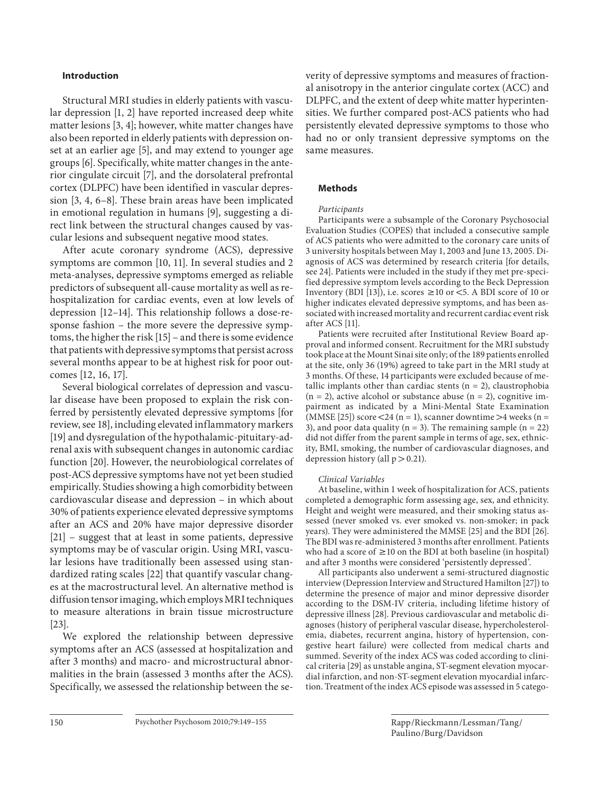## **Introduction**

 Structural MRI studies in elderly patients with vascular depression [1, 2] have reported increased deep white matter lesions  $[3, 4]$ ; however, white matter changes have also been reported in elderly patients with depression onset at an earlier age [5], and may extend to younger age groups [6] . Specifically, white matter changes in the anterior cingulate circuit [7], and the dorsolateral prefrontal cortex (DLPFC) have been identified in vascular depression  $[3, 4, 6-8]$ . These brain areas have been implicated in emotional regulation in humans [9], suggesting a direct link between the structural changes caused by vascular lesions and subsequent negative mood states.

 After acute coronary syndrome (ACS), depressive symptoms are common [10, 11]. In several studies and 2 meta-analyses, depressive symptoms emerged as reliable predictors of subsequent all-cause mortality as well as rehospitalization for cardiac events, even at low levels of depression [12–14]. This relationship follows a dose-response fashion – the more severe the depressive symptoms, the higher the risk [15] – and there is some evidence that patients with depressive symptoms that persist across several months appear to be at highest risk for poor outcomes [12, 16, 17].

 Several biological correlates of depression and vascular disease have been proposed to explain the risk conferred by persistently elevated depressive symptoms [for review, see 18], including elevated inflammatory markers [19] and dysregulation of the hypothalamic-pituitary-adrenal axis with subsequent changes in autonomic cardiac function [20]. However, the neurobiological correlates of post-ACS depressive symptoms have not yet been studied empirically. Studies showing a high comorbidity between cardiovascular disease and depression – in which about 30% of patients experience elevated depressive symptoms after an ACS and 20% have major depressive disorder [21] – suggest that at least in some patients, depressive symptoms may be of vascular origin. Using MRI, vascular lesions have traditionally been assessed using standardized rating scales [22] that quantify vascular changes at the macrostructural level. An alternative method is diffusion tensor imaging, which employs MRI techniques to measure alterations in brain tissue microstructure  $[23]$ .

 We explored the relationship between depressive symptoms after an ACS (assessed at hospitalization and after 3 months) and macro- and microstructural abnormalities in the brain (assessed 3 months after the ACS). Specifically, we assessed the relationship between the severity of depressive symptoms and measures of fractional anisotropy in the anterior cingulate cortex (ACC) and DLPFC, and the extent of deep white matter hyperintensities. We further compared post-ACS patients who had persistently elevated depressive symptoms to those who had no or only transient depressive symptoms on the same measures.

## **Methods**

## Participants

 Participants were a subsample of the Coronary Psychosocial Evaluation Studies (COPES) that included a consecutive sample of ACS patients who were admitted to the coronary care units of 3 university hospitals between May 1, 2003 and June 13, 2005. Diagnosis of ACS was determined by research criteria [for details, see 24]. Patients were included in the study if they met pre-specified depressive symptom levels according to the Beck Depression Inventory (BDI [13]), i.e. scores  $\geq 10$  or  $\lt$  5. A BDI score of 10 or higher indicates elevated depressive symptoms, and has been associated with increased mortality and recurrent cardiac event risk after ACS [11].

 Patients were recruited after Institutional Review Board approval and informed consent. Recruitment for the MRI substudy took place at the Mount Sinai site only; of the 189 patients enrolled at the site, only 36 (19%) agreed to take part in the MRI study at 3 months. Of these, 14 participants were excluded because of metallic implants other than cardiac stents ( $n = 2$ ), claustrophobia  $(n = 2)$ , active alcohol or substance abuse  $(n = 2)$ , cognitive impairment as indicated by a Mini-Mental State Examination (MMSE [25]) score <24 (n = 1), scanner downtime >4 weeks (n = 3), and poor data quality ( $n = 3$ ). The remaining sample ( $n = 22$ ) did not differ from the parent sample in terms of age, sex, ethnicity, BMI, smoking, the number of cardiovascular diagnoses, and depression history (all  $p > 0.21$ ).

## Clinical Variables

 At baseline, within 1 week of hospitalization for ACS, patients completed a demographic form assessing age, sex, and ethnicity. Height and weight were measured, and their smoking status assessed (never smoked vs. ever smoked vs. non-smoker; in pack years). They were administered the MMSE [25] and the BDI [26]. The BDI was re-administered 3 months after enrollment. Patients who had a score of  $\geq 10$  on the BDI at both baseline (in hospital) and after 3 months were considered 'persistently depressed'.

 All participants also underwent a semi-structured diagnostic interview (Depression Interview and Structured Hamilton [27] ) to determine the presence of major and minor depressive disorder according to the DSM-IV criteria, including lifetime history of depressive illness [28]. Previous cardiovascular and metabolic diagnoses (history of peripheral vascular disease, hypercholesterolemia, diabetes, recurrent angina, history of hypertension, congestive heart failure) were collected from medical charts and summed. Severity of the index ACS was coded according to clinical criteria [29] as unstable angina, ST-segment elevation myocardial infarction, and non-ST-segment elevation myocardial infarction. Treatment of the index ACS episode was assessed in 5 catego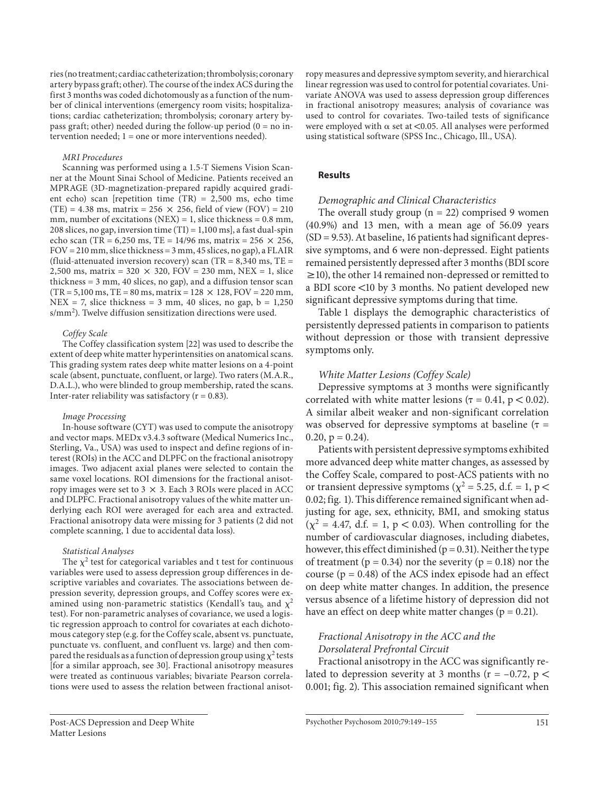ries (no treatment; cardiac catheterization; thrombolysis; coronary artery bypass graft; other). The course of the index ACS during the first 3 months was coded dichotomously as a function of the number of clinical interventions (emergency room visits; hospitalizations; cardiac catheterization; thrombolysis; coronary artery bypass graft; other) needed during the follow-up period  $(0 = no in$ tervention needed; 1 = one or more interventions needed).

## MRI Procedures

 Scanning was performed using a 1.5-T Siemens Vision Scanner at the Mount Sinai School of Medicine. Patients received an MPRAGE (3D-magnetization-prepared rapidly acquired gradient echo) scan [repetition time (TR) = 2,500 ms, echo time  $(TE) = 4.38$  ms, matrix = 256  $\times$  256, field of view (FOV) = 210 mm, number of excitations (NEX) = 1, slice thickness =  $0.8$  mm, 208 slices, no gap, inversion time  $(TI) = 1,100$  msl, a fast dual-spin echo scan (TR = 6,250 ms, TE = 14/96 ms, matrix = 256  $\times$  256,  $FOV = 210$  mm, slice thickness =  $3$  mm,  $45$  slices, no gap), a FLAIR (fluid-attenuated inversion recovery) scan (TR =  $8,340$  ms, TE = 2,500 ms, matrix =  $320 \times 320$ , FOV = 230 mm, NEX = 1, slice thickness = 3 mm, 40 slices, no gap), and a diffusion tensor scan  $(TR = 5,100 \text{ ms}, TE = 80 \text{ ms}, matrix = 128 \times 128, FOV = 220 \text{ mm},$  $NEX = 7$ , slice thickness = 3 mm, 40 slices, no gap,  $b = 1,250$ s/mm<sup>2</sup>). Twelve diffusion sensitization directions were used.

#### Coffey Scale

 The Coffey classification system [22] was used to describe the extent of deep white matter hyperintensities on anatomical scans. This grading system rates deep white matter lesions on a 4-point scale (absent, punctuate, confluent, or large). Two raters (M.A.R., D.A.L.), who were blinded to group membership, rated the scans. Inter-rater reliability was satisfactory ( $r = 0.83$ ).

#### Image Processing

 In-house software (CYT) was used to compute the anisotropy and vector maps. MEDx v3.4.3 software (Medical Numerics Inc., Sterling, Va., USA) was used to inspect and define regions of interest (ROIs) in the ACC and DLPFC on the fractional anisotropy images. Two adjacent axial planes were selected to contain the same voxel locations. ROI dimensions for the fractional anisotropy images were set to  $3 \times 3$ . Each 3 ROIs were placed in ACC and DLPFC. Fractional anisotropy values of the white matter underlying each ROI were averaged for each area and extracted. Fractional anisotropy data were missing for 3 patients (2 did not complete scanning, 1 due to accidental data loss).

#### Statistical Analyses

The  $\chi^2$  test for categorical variables and t test for continuous variables were used to assess depression group differences in descriptive variables and covariates. The associations between depression severity, depression groups, and Coffey scores were examined using non-parametric statistics (Kendall's tau<sub>b</sub> and  $\chi^2$ test). For non-parametric analyses of covariance, we used a logistic regression approach to control for covariates at each dichotomous category step (e.g. for the Coffey scale, absent vs. punctuate, punctuate vs. confluent, and confluent vs. large) and then compared the residuals as a function of depression group using  $\chi^2$  tests [for a similar approach, see 30]. Fractional anisotropy measures were treated as continuous variables; bivariate Pearson correlations were used to assess the relation between fractional anisotropy measures and depressive symptom severity, and hierarchical linear regression was used to control for potential covariates. Univariate ANOVA was used to assess depression group differences in fractional anisotropy measures; analysis of covariance was used to control for covariates. Two-tailed tests of significance were employed with  $\alpha$  set at <0.05. All analyses were performed using statistical software (SPSS Inc., Chicago, Ill., USA).

## **Results**

## Demographic and Clinical Characteristics

The overall study group  $(n = 22)$  comprised 9 women (40.9%) and 13 men, with a mean age of 56.09 years  $(SD = 9.53)$ . At baseline, 16 patients had significant depressive symptoms, and 6 were non-depressed. Eight patients remained persistently depressed after 3 months (BDI score  $\geq$ 10), the other 14 remained non-depressed or remitted to a BDI score  $\leq 10$  by 3 months. No patient developed new significant depressive symptoms during that time.

 Table 1 displays the demographic characteristics of persistently depressed patients in comparison to patients without depression or those with transient depressive symptoms only.

## White Matter Lesions (Coffey Scale)

 Depressive symptoms at 3 months were significantly correlated with white matter lesions ( $\tau$  = 0.41, p < 0.02). A similar albeit weaker and non-significant correlation was observed for depressive symptoms at baseline ( $\tau$  =  $0.20, p = 0.24$ .

 Patients with persistent depressive symptoms exhibited more advanced deep white matter changes, as assessed by the Coffey Scale, compared to post-ACS patients with no or transient depressive symptoms ( $\chi^2$  = 5.25, d.f. = 1, p < 0.02; fig. 1). This difference remained significant when adjusting for age, sex, ethnicity, BMI, and smoking status  $(\chi^2 = 4.47, d.f. = 1, p < 0.03)$ . When controlling for the number of cardiovascular diagnoses, including diabetes, however, this effect diminished ( $p = 0.31$ ). Neither the type of treatment ( $p = 0.34$ ) nor the severity ( $p = 0.18$ ) nor the course ( $p = 0.48$ ) of the ACS index episode had an effect on deep white matter changes. In addition, the presence versus absence of a lifetime history of depression did not have an effect on deep white matter changes ( $p = 0.21$ ).

## Fractional Anisotropy in the ACC and the Dorsolateral Prefrontal Circuit

 Fractional anisotropy in the ACC was significantly related to depression severity at 3 months ( $r = -0.72$ ,  $p <$ 0.001; fig. 2). This association remained significant when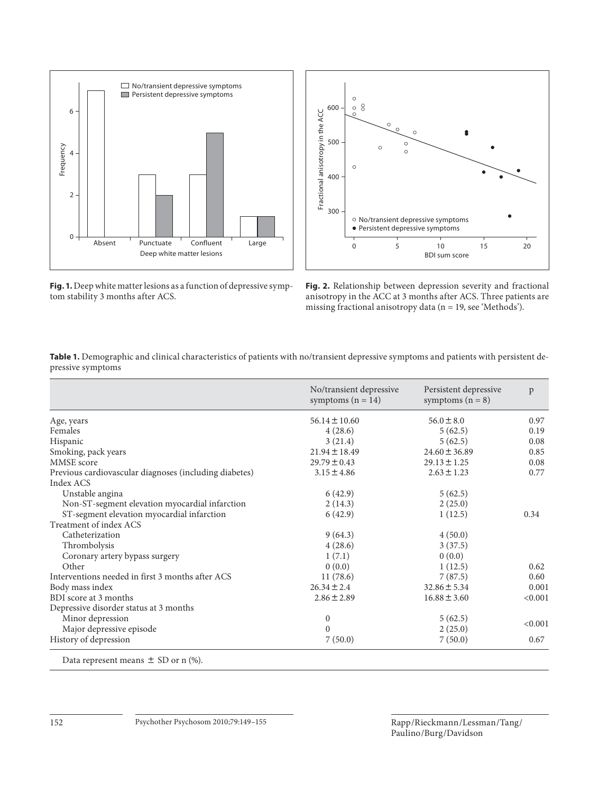

**Fig. 1.** Deep white matter lesions as a function of depressive symptom stability 3 months after ACS.



**Fig. 2.** Relationship between depression severity and fractional anisotropy in the ACC at 3 months after ACS. Three patients are missing fractional anisotropy data (n = 19, see 'Methods').

|                                                        | No/transient depressive<br>symptoms $(n = 14)$ | Persistent depressive<br>symptoms $(n = 8)$ | p       |
|--------------------------------------------------------|------------------------------------------------|---------------------------------------------|---------|
| Age, years                                             | $56.14 \pm 10.60$                              | $56.0 \pm 8.0$                              | 0.97    |
| Females                                                | 4(28.6)                                        | 5(62.5)                                     | 0.19    |
| Hispanic                                               | 3(21.4)                                        | 5(62.5)                                     | 0.08    |
| Smoking, pack years                                    | $21.94 \pm 18.49$                              | $24.60 \pm 36.89$                           | 0.85    |
| MMSE score                                             | $29.79 \pm 0.43$                               | $29.13 \pm 1.25$                            | 0.08    |
| Previous cardiovascular diagnoses (including diabetes) | $3.15 \pm 4.86$                                | $2.63 \pm 1.23$                             | 0.77    |
| Index ACS                                              |                                                |                                             |         |
| Unstable angina                                        | 6(42.9)                                        | 5(62.5)                                     |         |
| Non-ST-segment elevation myocardial infarction         | 2(14.3)                                        | 2(25.0)                                     |         |
| ST-segment elevation myocardial infarction             | 6(42.9)                                        | 1(12.5)                                     | 0.34    |
| Treatment of index ACS                                 |                                                |                                             |         |
| Catheterization                                        | 9(64.3)                                        | 4(50.0)                                     |         |
| Thrombolysis                                           | 4(28.6)                                        | 3(37.5)                                     |         |
| Coronary artery bypass surgery                         | 1(7.1)                                         | 0(0.0)                                      |         |
| Other                                                  | 0(0.0)                                         | 1(12.5)                                     | 0.62    |
| Interventions needed in first 3 months after ACS       | 11(78.6)                                       | 7(87.5)                                     | 0.60    |
| Body mass index                                        | $26.34 \pm 2.4$                                | $32.86 \pm 5.34$                            | 0.001   |
| BDI score at 3 months                                  | $2.86 \pm 2.89$                                | $16.88 \pm 3.60$                            | < 0.001 |
| Depressive disorder status at 3 months                 |                                                |                                             |         |
| Minor depression                                       | $\mathbf{0}$                                   | 5(62.5)                                     | < 0.001 |
| Major depressive episode                               | $\theta$                                       | 2(25.0)                                     |         |
| History of depression                                  | 7(50.0)                                        | 7(50.0)                                     | 0.67    |

**Table 1.** Demographic and clinical characteristics of patients with no/transient depressive symptoms and patients with persistent depressive symptoms

Data represent means  $\pm$  SD or n (%).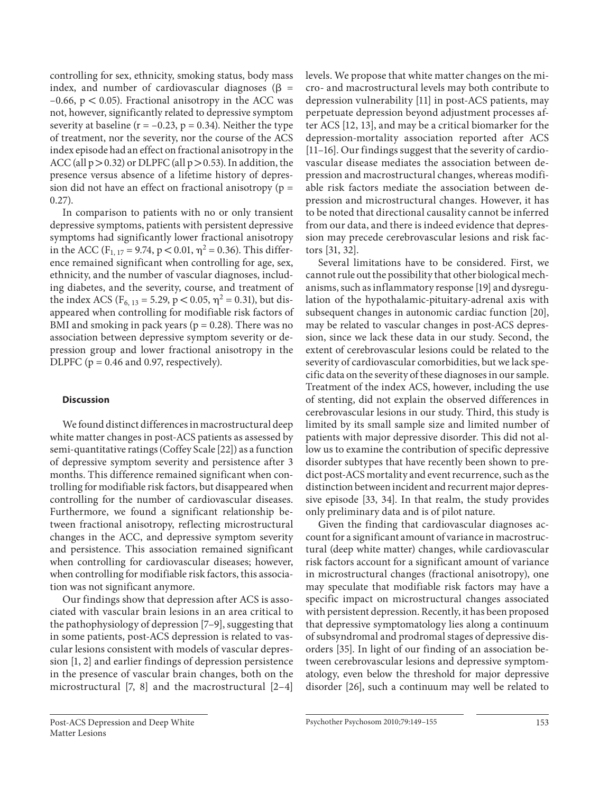controlling for sex, ethnicity, smoking status, body mass index, and number of cardiovascular diagnoses ( $\beta$  =  $-0.66$ ,  $p < 0.05$ ). Fractional anisotropy in the ACC was not, however, significantly related to depressive symptom severity at baseline ( $r = -0.23$ ,  $p = 0.34$ ). Neither the type of treatment, nor the severity, nor the course of the ACS index episode had an effect on fractional anisotropy in the ACC (all  $p > 0.32$ ) or DLPFC (all  $p > 0.53$ ). In addition, the presence versus absence of a lifetime history of depression did not have an effect on fractional anisotropy ( $p =$ 0.27).

 In comparison to patients with no or only transient depressive symptoms, patients with persistent depressive symptoms had significantly lower fractional anisotropy in the ACC (F<sub>1, 17</sub> = 9.74, p < 0.01,  $\eta^2$  = 0.36). This difference remained significant when controlling for age, sex, ethnicity, and the number of vascular diagnoses, including diabetes, and the severity, course, and treatment of the index ACS ( $F_{6, 13} = 5.29$ ,  $p < 0.05$ ,  $\eta^2 = 0.31$ ), but disappeared when controlling for modifiable risk factors of BMI and smoking in pack years ( $p = 0.28$ ). There was no association between depressive symptom severity or depression group and lower fractional anisotropy in the DLPFC ( $p = 0.46$  and 0.97, respectively).

## **Discussion**

 We found distinct differences in macrostructural deep white matter changes in post-ACS patients as assessed by semi-quantitative ratings (Coffey Scale [22] ) as a function of depressive symptom severity and persistence after 3 months. This difference remained significant when controlling for modifiable risk factors, but disappeared when controlling for the number of cardiovascular diseases. Furthermore, we found a significant relationship between fractional anisotropy, reflecting microstructural changes in the ACC, and depressive symptom severity and persistence. This association remained significant when controlling for cardiovascular diseases; however, when controlling for modifiable risk factors, this association was not significant anymore.

 Our findings show that depression after ACS is associated with vascular brain lesions in an area critical to the pathophysiology of depression [7–9] , suggesting that in some patients, post-ACS depression is related to vascular lesions consistent with models of vascular depression [1, 2] and earlier findings of depression persistence in the presence of vascular brain changes, both on the microstructural [7, 8] and the macrostructural [2–4] levels. We propose that white matter changes on the micro- and macrostructural levels may both contribute to depression vulnerability [11] in post-ACS patients, may perpetuate depression beyond adjustment processes after ACS [12, 13] , and may be a critical biomarker for the depression-mortality association reported after ACS [11–16] . Our findings suggest that the severity of cardiovascular disease mediates the association between depression and macrostructural changes, whereas modifiable risk factors mediate the association between depression and microstructural changes. However, it has to be noted that directional causality cannot be inferred from our data, and there is indeed evidence that depression may precede cerebrovascular lesions and risk factors [31, 32].

 Several limitations have to be considered. First, we cannot rule out the possibility that other biological mechanisms, such as inflammatory response [19] and dysregulation of the hypothalamic-pituitary-adrenal axis with subsequent changes in autonomic cardiac function [20], may be related to vascular changes in post-ACS depression, since we lack these data in our study. Second, the extent of cerebrovascular lesions could be related to the severity of cardiovascular comorbidities, but we lack specific data on the severity of these diagnoses in our sample. Treatment of the index ACS, however, including the use of stenting, did not explain the observed differences in cerebrovascular lesions in our study. Third, this study is limited by its small sample size and limited number of patients with major depressive disorder. This did not allow us to examine the contribution of specific depressive disorder subtypes that have recently been shown to predict post-ACS mortality and event recurrence, such as the distinction between incident and recurrent major depressive episode [33, 34]. In that realm, the study provides only preliminary data and is of pilot nature.

 Given the finding that cardiovascular diagnoses account for a significant amount of variance in macrostructural (deep white matter) changes, while cardiovascular risk factors account for a significant amount of variance in microstructural changes (fractional anisotropy), one may speculate that modifiable risk factors may have a specific impact on microstructural changes associated with persistent depression. Recently, it has been proposed that depressive symptomatology lies along a continuum of subsyndromal and prodromal stages of depressive disorders [35] . In light of our finding of an association between cerebrovascular lesions and depressive symptomatology, even below the threshold for major depressive disorder [26], such a continuum may well be related to

Psychother Psychosom 2010;79:149–155 153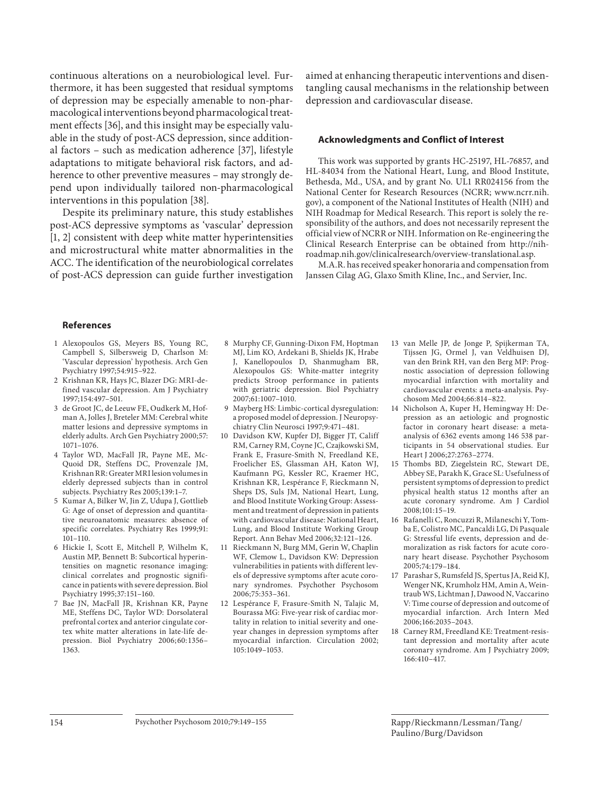continuous alterations on a neurobiological level. Furthermore, it has been suggested that residual symptoms of depression may be especially amenable to non-pharmacological interventions beyond pharmacological treatment effects [36], and this insight may be especially valuable in the study of post-ACS depression, since additional factors – such as medication adherence [37], lifestyle adaptations to mitigate behavioral risk factors, and adherence to other preventive measures – may strongly depend upon individually tailored non-pharmacological interventions in this population [38].

 Despite its preliminary nature, this study establishes post-ACS depressive symptoms as 'vascular' depression [1, 2] consistent with deep white matter hyperintensities and microstructural white matter abnormalities in the ACC. The identification of the neurobiological correlates of post-ACS depression can guide further investigation

aimed at enhancing therapeutic interventions and disentangling causal mechanisms in the relationship between depression and cardiovascular disease.

## **Acknowledgments and Conflict of Interest**

 This work was supported by grants HC-25197, HL-76857, and HL-84034 from the National Heart, Lung, and Blood Institute, Bethesda, Md., USA, and by grant No. UL1 RR024156 from the National Center for Research Resources (NCRR; www.ncrr.nih. gov), a component of the National Institutes of Health (NIH) and NIH Roadmap for Medical Research. This report is solely the responsibility of the authors, and does not necessarily represent the official view of NCRR or NIH. Information on Re-engineering the Clinical Research Enterprise can be obtained from http://nihroadmap.nih.gov/clinicalresearch/overview-translational.asp.

 M.A.R. has received speaker honoraria and compensation from Janssen Cilag AG, Glaxo Smith Kline, Inc., and Servier, Inc.

## **References**

- 1 Alexopoulos GS, Meyers BS, Young RC, Campbell S, Silbersweig D, Charlson M: 'Vascular depression' hypothesis. Arch Gen Psychiatry 1997;54:915–922.
- 2 Krishnan KR, Hays JC, Blazer DG: MRI-defined vascular depression. Am J Psychiatry 1997;154:497–501.
- 3 de Groot JC, de Leeuw FE, Oudkerk M, Hofman A, Jolles J, Breteler MM: Cerebral white matter lesions and depressive symptoms in elderly adults. Arch Gen Psychiatry 2000;57: 1071–1076.
- 4 Taylor WD, MacFall JR, Payne ME, Mc-Quoid DR, Steffens DC, Provenzale JM, Krishnan RR: Greater MRI lesion volumes in elderly depressed subjects than in control subjects. Psychiatry Res 2005;139:1–7.
- 5 Kumar A, Bilker W, Jin Z, Udupa J, Gottlieb G: Age of onset of depression and quantitative neuroanatomic measures: absence of specific correlates. Psychiatry Res 1999;91:  $101 - 110$ .
- 6 Hickie I, Scott E, Mitchell P, Wilhelm K, Austin MP, Bennett B: Subcortical hyperintensities on magnetic resonance imaging: clinical correlates and prognostic significance in patients with severe depression. Biol Psychiatry 1995;37:151–160.
- 7 Bae JN, MacFall JR, Krishnan KR, Payne ME, Steffens DC, Taylor WD: Dorsolateral prefrontal cortex and anterior cingulate cortex white matter alterations in late-life depression. Biol Psychiatry 2006; 60: 1356– 1363.
- 8 Murphy CF, Gunning-Dixon FM, Hoptman MJ, Lim KO, Ardekani B, Shields JK, Hrabe J, Kanellopoulos D, Shanmugham BR, Alexopoulos GS: White-matter integrity predicts Stroop performance in patients with geriatric depression. Biol Psychiatry 2007;61:1007–1010.
- 9 Mayberg HS: Limbic-cortical dysregulation: a proposed model of depression. J Neuropsychiatry Clin Neurosci 1997;9:471–481.
- 10 Davidson KW, Kupfer DJ, Bigger JT, Califf RM, Carney RM, Coyne JC, Czajkowski SM, Frank E, Frasure-Smith N, Freedland KE, Froelicher ES, Glassman AH, Katon WJ, Kaufmann PG, Kessler RC, Kraemer HC, Krishnan KR, Lespérance F, Rieckmann N, Sheps DS, Suls JM, National Heart, Lung, and Blood Institute Working Group: Assessment and treatment of depression in patients with cardiovascular disease: National Heart, Lung, and Blood Institute Working Group Report. Ann Behav Med 2006;32:121–126.
- 11 Rieckmann N, Burg MM, Gerin W, Chaplin WF, Clemow L, Davidson KW: Depression vulnerabilities in patients with different levels of depressive symptoms after acute coronary syndromes. Psychother Psychosom 2006;75:353–361.
- 12 Lespérance F, Frasure-Smith N, Talajic M, Bourassa MG: Five-year risk of cardiac mortality in relation to initial severity and oneyear changes in depression symptoms after myocardial infarction. Circulation 2002; 105:1049–1053.
- 13 van Melle JP, de Jonge P, Spijkerman TA, Tijssen JG, Ormel J, van Veldhuisen DJ, van den Brink RH, van den Berg MP: Prognostic association of depression following myocardial infarction with mortality and cardiovascular events: a meta-analysis. Psychosom Med 2004;66:814–822.
- 14 Nicholson A, Kuper H, Hemingway H: Depression as an aetiologic and prognostic factor in coronary heart disease: a metaanalysis of 6362 events among 146 538 participants in 54 observational studies. Eur Heart J 2006;27:2763–2774.
- 15 Thombs BD, Ziegelstein RC, Stewart DE, Abbey SE, Parakh K, Grace SL: Usefulness of persistent symptoms of depression to predict physical health status 12 months after an acute coronary syndrome. Am J Cardiol 2008;101:15–19.
- 16 Rafanelli C, Roncuzzi R, Milaneschi Y, Tomba E, Colistro MC, Pancaldi LG, Di Pasquale G: Stressful life events, depression and demoralization as risk factors for acute coronary heart disease. Psychother Psychosom 2005;74:179–184.
- 17 Parashar S, Rumsfeld JS, Spertus JA, Reid KJ, Wenger NK, Krumholz HM, Amin A, Weintraub WS, Lichtman J, Dawood N, Vaccarino V: Time course of depression and outcome of myocardial infarction. Arch Intern Med 2006;166:2035–2043.
- 18 Carney RM, Freedland KE: Treatment-resistant depression and mortality after acute coronary syndrome. Am J Psychiatry 2009; 166:410–417.